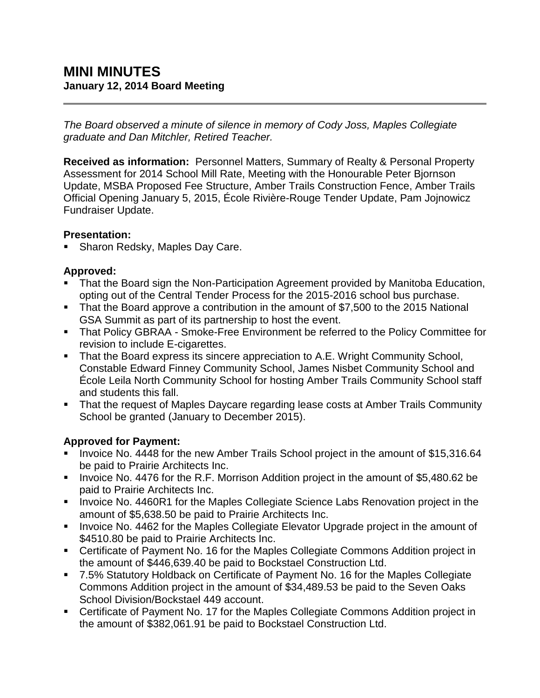*The Board observed a minute of silence in memory of Cody Joss, Maples Collegiate graduate and Dan Mitchler, Retired Teacher.*

**Received as information:** Personnel Matters, Summary of Realty & Personal Property Assessment for 2014 School Mill Rate, Meeting with the Honourable Peter Bjornson Update, MSBA Proposed Fee Structure, Amber Trails Construction Fence, Amber Trails Official Opening January 5, 2015, École Rivière-Rouge Tender Update, Pam Jojnowicz Fundraiser Update.

### **Presentation:**

Sharon Redsky, Maples Day Care.

## **Approved:**

- That the Board sign the Non-Participation Agreement provided by Manitoba Education, opting out of the Central Tender Process for the 2015-2016 school bus purchase.
- That the Board approve a contribution in the amount of \$7,500 to the 2015 National GSA Summit as part of its partnership to host the event.
- That Policy GBRAA Smoke-Free Environment be referred to the Policy Committee for revision to include E-cigarettes.
- That the Board express its sincere appreciation to A.E. Wright Community School, Constable Edward Finney Community School, James Nisbet Community School and École Leila North Community School for hosting Amber Trails Community School staff and students this fall.
- **That the request of Maples Daycare regarding lease costs at Amber Trails Community** School be granted (January to December 2015).

## **Approved for Payment:**

- Invoice No. 4448 for the new Amber Trails School project in the amount of \$15,316.64 be paid to Prairie Architects Inc.
- Invoice No. 4476 for the R.F. Morrison Addition project in the amount of \$5,480.62 be paid to Prairie Architects Inc.
- Invoice No. 4460R1 for the Maples Collegiate Science Labs Renovation project in the amount of \$5,638.50 be paid to Prairie Architects Inc.
- **Invoice No. 4462 for the Maples Collegiate Elevator Upgrade project in the amount of** \$4510.80 be paid to Prairie Architects Inc.
- Certificate of Payment No. 16 for the Maples Collegiate Commons Addition project in the amount of \$446,639.40 be paid to Bockstael Construction Ltd.
- 7.5% Statutory Holdback on Certificate of Payment No. 16 for the Maples Collegiate Commons Addition project in the amount of \$34,489.53 be paid to the Seven Oaks School Division/Bockstael 449 account.
- Certificate of Payment No. 17 for the Maples Collegiate Commons Addition project in the amount of \$382,061.91 be paid to Bockstael Construction Ltd.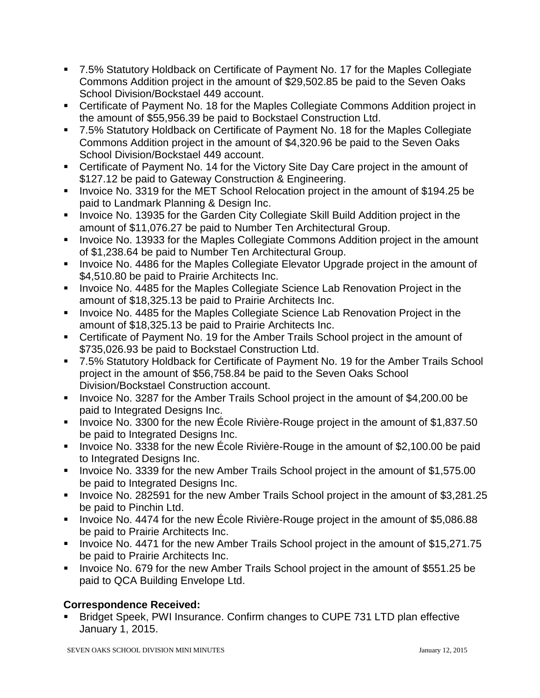- 7.5% Statutory Holdback on Certificate of Payment No. 17 for the Maples Collegiate Commons Addition project in the amount of \$29,502.85 be paid to the Seven Oaks School Division/Bockstael 449 account.
- Certificate of Payment No. 18 for the Maples Collegiate Commons Addition project in the amount of \$55,956.39 be paid to Bockstael Construction Ltd.
- 7.5% Statutory Holdback on Certificate of Payment No. 18 for the Maples Collegiate Commons Addition project in the amount of \$4,320.96 be paid to the Seven Oaks School Division/Bockstael 449 account.
- Certificate of Payment No. 14 for the Victory Site Day Care project in the amount of \$127.12 be paid to Gateway Construction & Engineering.
- Invoice No. 3319 for the MET School Relocation project in the amount of \$194.25 be paid to Landmark Planning & Design Inc.
- **Invoice No. 13935 for the Garden City Collegiate Skill Build Addition project in the** amount of \$11,076.27 be paid to Number Ten Architectural Group.
- **IDED** Invoice No. 13933 for the Maples Collegiate Commons Addition project in the amount of \$1,238.64 be paid to Number Ten Architectural Group.
- **IDED** Invoice No. 4486 for the Maples Collegiate Elevator Upgrade project in the amount of \$4,510.80 be paid to Prairie Architects Inc.
- **Invoice No. 4485 for the Maples Collegiate Science Lab Renovation Project in the** amount of \$18,325.13 be paid to Prairie Architects Inc.
- **Invoice No. 4485 for the Maples Collegiate Science Lab Renovation Project in the** amount of \$18,325.13 be paid to Prairie Architects Inc.
- Certificate of Payment No. 19 for the Amber Trails School project in the amount of \$735,026.93 be paid to Bockstael Construction Ltd.
- 7.5% Statutory Holdback for Certificate of Payment No. 19 for the Amber Trails School project in the amount of \$56,758.84 be paid to the Seven Oaks School Division/Bockstael Construction account.
- Invoice No. 3287 for the Amber Trails School project in the amount of \$4,200.00 be paid to Integrated Designs Inc.
- Invoice No. 3300 for the new École Rivière-Rouge project in the amount of \$1,837.50 be paid to Integrated Designs Inc.
- Invoice No. 3338 for the new École Rivière-Rouge in the amount of \$2,100.00 be paid to Integrated Designs Inc.
- Invoice No. 3339 for the new Amber Trails School project in the amount of \$1,575.00 be paid to Integrated Designs Inc.
- Invoice No. 282591 for the new Amber Trails School project in the amount of \$3,281.25 be paid to Pinchin Ltd.
- Invoice No. 4474 for the new Ecole Rivière-Rouge project in the amount of \$5,086.88 be paid to Prairie Architects Inc.
- Invoice No. 4471 for the new Amber Trails School project in the amount of \$15,271.75 be paid to Prairie Architects Inc.
- Invoice No. 679 for the new Amber Trails School project in the amount of \$551.25 be paid to QCA Building Envelope Ltd.

# **Correspondence Received:**

 Bridget Speek, PWI Insurance. Confirm changes to CUPE 731 LTD plan effective January 1, 2015.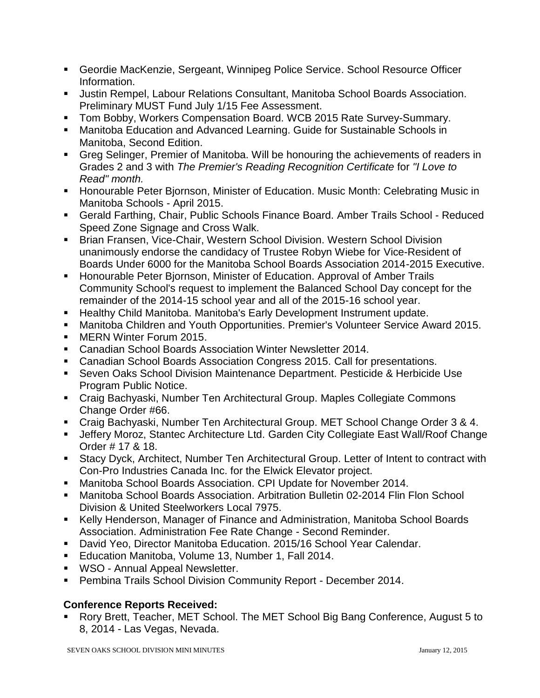- Geordie MacKenzie, Sergeant, Winnipeg Police Service. School Resource Officer Information.
- Justin Rempel, Labour Relations Consultant, Manitoba School Boards Association. Preliminary MUST Fund July 1/15 Fee Assessment.
- **Tom Bobby, Workers Compensation Board. WCB 2015 Rate Survey-Summary.**
- Manitoba Education and Advanced Learning. Guide for Sustainable Schools in Manitoba, Second Edition.
- Greg Selinger, Premier of Manitoba. Will be honouring the achievements of readers in Grades 2 and 3 with *The Premier's Reading Recognition Certificate* for *"I Love to Read" month.*
- **Honourable Peter Biornson, Minister of Education. Music Month: Celebrating Music in** Manitoba Schools - April 2015.
- Gerald Farthing, Chair, Public Schools Finance Board. Amber Trails School Reduced Speed Zone Signage and Cross Walk.
- **Brian Fransen, Vice-Chair, Western School Division. Western School Division** unanimously endorse the candidacy of Trustee Robyn Wiebe for Vice-Resident of Boards Under 6000 for the Manitoba School Boards Association 2014-2015 Executive.
- **Honourable Peter Biornson, Minister of Education. Approval of Amber Trails** Community School's request to implement the Balanced School Day concept for the remainder of the 2014-15 school year and all of the 2015-16 school year.
- **Healthy Child Manitoba. Manitoba's Early Development Instrument update.**
- Manitoba Children and Youth Opportunities. Premier's Volunteer Service Award 2015.
- MERN Winter Forum 2015.
- **EXEC** Canadian School Boards Association Winter Newsletter 2014.
- Canadian School Boards Association Congress 2015. Call for presentations.
- Seven Oaks School Division Maintenance Department. Pesticide & Herbicide Use Program Public Notice.
- Craig Bachyaski, Number Ten Architectural Group. Maples Collegiate Commons Change Order #66.
- Craig Bachyaski, Number Ten Architectural Group. MET School Change Order 3 & 4.
- Jeffery Moroz, Stantec Architecture Ltd. Garden City Collegiate East Wall/Roof Change Order # 17 & 18.
- Stacy Dyck, Architect, Number Ten Architectural Group. Letter of Intent to contract with Con-Pro Industries Canada Inc. for the Elwick Elevator project.
- Manitoba School Boards Association. CPI Update for November 2014.
- Manitoba School Boards Association. Arbitration Bulletin 02-2014 Flin Flon School Division & United Steelworkers Local 7975.
- Kelly Henderson, Manager of Finance and Administration, Manitoba School Boards Association. Administration Fee Rate Change - Second Reminder.
- David Yeo, Director Manitoba Education. 2015/16 School Year Calendar.
- **Education Manitoba, Volume 13, Number 1, Fall 2014.**
- **WSO Annual Appeal Newsletter.**
- **Pembina Trails School Division Community Report December 2014.**

## **Conference Reports Received:**

 Rory Brett, Teacher, MET School. The MET School Big Bang Conference, August 5 to 8, 2014 - Las Vegas, Nevada.